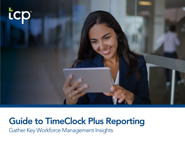

# Guide to TimeClock Plus Reporting

Gather Key Workforce Management Insights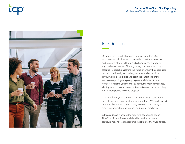# **icp**



## Introduction

On any given day, a lot happens with your workforce. Some employees will clock in and others will call in sick, some work part time and others full time, and schedules can change for any number of reasons. Although every hour in the workday is essential, reports highlighting individual events in the aggregate can help you identify anomalies, patterns, and exceptions to your workplace policies and practices. In fact, insightful workforce reporting can give you greater visibility into your workforce, helping you monitor budgets, maintain compliance, identify exceptions and make better decisions about scheduling workers for specific jobs and projects,

At TCP Software, we've learned a lot in the last 30 years about the data required to understand your workforce. We've designed reporting features that make it easy to measure and analyze employee hours, time-off metrics, and worker productivity.

In this guide, we highlight the reporting capabilities of our TimeClock Plus software and detail how other customers configure reports to gain real-time insights into their workforces.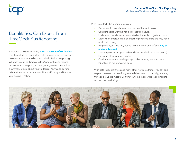## Benefits You Can Expect From TimeClock Plus Reporting

**LCD** 

According to a Gartner survey, [only 21 percent of HR leaders](https://www.gartner.com/en/human-resources/insights/talent-analytics) said they effectively used talent data to make business decisions. In some cases, that may be due to a lack of reliable reporting. Whether you utilize TimeClock Plus' pre-configured reports or create custom reports, you are getting so much more than a summary of data about your workforce. You're also gaining information that can increase workforce efficiency and improve your decision-making,

With TimeClock Plus reporting, you can:

- Find out which team is most productive with specific tasks.
- Compare actual working hours to scheduled hours.
- Understand the labor costs associated with specific projects and jobs.
- Learn when employees are approaching overtime limits and may need a schedule change.
- Flag employees who may not be taking enough time off and **may be** [at risk of burnout](https://www.tcpsoftware.com/blog/how-leave-management-helps-employees-achieve-better-work-life-balance).
- Track employees on approved Family and Medical Leave Act (FMLA) leave and other statutory leaves.
- Configure reports according to applicable industry, state and local labor laws to monitor compliance.

With data to identify these and many other workforce trends, you can take steps to reassess practices for greater efficiency and productivity, ensuring that you derive the most value from your employees while taking steps to support their wellbeing.

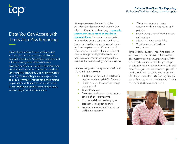# Data You Can Access with TimeClock Plus Reporting

Having the technology to view workforce data is a must, but the data must be accessible and digestible. TimeClock Plus workforce management software makes your workforce data more accessible by giving you the ability to run common, pre-configured reports or to utilize the breadth of your workforce data with fully ad-hoc customizable reporting. For example, you can run reports that give you a summary of regular hours and overtime for your entire workforce. You can also drill down to view working hours and overtime by job code, location, project, or other parameters.

### It's easy to get overwhelmed by all the available data about your workforce, which is why TimeClock Plus makes it easy to **generate** [reports that are as broad or detailed as](https://www.tcpsoftware.com/reports)  [you want them](https://www.tcpsoftware.com/reports). For example, when looking at time-off usage, you can view specific leave types—such as floating holidays or sick days—

and total employee time off versus accruals. That way, you can get an at-a-glance view of individuals approaching their time-off limits and those who may be losing accrued time because they are not taking it before it expires.

Here are the types of data you can obtain from TimeClock Plus reporting:

- Total hours worked, with breakdown for regular, overtime, and shift differentials
- Employee time-off accruals and usage versus accrual
- Time-off requests
- Exceptions, such as employees near or at time-off or overtime limits
- Number and duration of employee break times in a specific period
- Variance between actual hours worked and hours scheduled

### Guide to TimeClock Plus Reporting Gather Key Workforce Management Insights

- Worker hours and labor costs associated with specific job sites and projects
- Employee clock-in and clock-out times and locations
- Substitute coverage schedules
- Week-by-week working hour comparisons

TimeClock Plus customer reporting tools can also save you from the information overload accompanying some software solutions. With the ability to sort and filter data by employee, department, location, job code, cost code, and other fields, you can create custom reports that display workforce data in the format and level of detail you need. Instead of wading through a sea of reports, you can set the parameters for the workforce data you want to see.

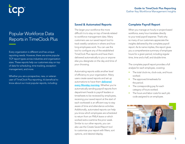# Popular Workforce Data Reports in TimeClock Plus

Every organization is different and has unique reporting needs. However, there are some popular TCP report types across industries and organization sizes. These reports help our customers stay on top of data for scheduling, time tracking, exception management, and more.

Whether you are a prospective, new, or veteran user of TimeClock Plus reporting, it's beneficial to know about our most popular reports, including:

### Guide to TimeClock Plus Reporting Gather Key Workforce Management Insights

### Saved & Automated Reports

The larger your workforce the more difficult it is to stay on top of trends related to workforce management data. Many customers use our saved report tool to track weekly variations in where and how long employees work. You can use the tool to configure any of the established TimeClock Plus reports and have them delivered automatically to you or anyone else you designate on the day and time of your choosing.

Automating reports adds another level of efficiency to your organization. Many users create saved reports and set up automations to have them **delivered** [every Monday morning](https://www.tcpsoftware.com/blog/report-monday-morning). Whether you're automatically sending payroll reports from department heads to payroll leaders or timesheets to be reviewed by employees, receiving your saved report at the start of each workweek is an efficient way to stay aware of time and attendance activities. Additionally, automated reports can help you know which employees are scheduled to return from an FMLA leave or which worked extra overtime the prior week. Similar to our other reports, you can also use the Create Saved Report tool to customize your report with filters, sort options, and desired display.

### Complete Payroll Report

When you manage an hourly or project-based workforce, every hour translates directly to your total payroll expense. That's why so many of our customers appreciate the insights delivered by the complete payroll report. As its name implies, this report gives you a comprehensive summary of employee hours for a given period, including regular time, time and a half, and double time.

The complete payroll report provides a full analysis for each employee, covering:

- The total clock-ins, clock-outs, and hours worked.
- The approved timesheets for the period.
- The corresponding pay for each category of hours worked.
- The hours and labor costs for each job code assigned to an employee.

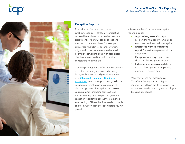# **icp**



### Exception Reports

Even when you've taken the time to establish schedules—carefully incorporating required break times and equitable overtime assignments— there will still be exceptions that crop up here and there. For example, employees who fill in for absent coworkers might work more overtime than scheduled, or employees working against an accelerated deadline may exceed the policy limit for consecutive working days.

Our exception reports clarify a range of possible exceptions affecting workforce scheduling, leave, working hours, and payroll. By tracking over [30 possible time and attendance](https://www.tcpsoftware.com/blog/streamline-payroll-processes)  [exceptions](https://www.tcpsoftware.com/blog/streamline-payroll-processes), exception reports help you deliver accurate and timely paychecks. Instead of discovering a slew of exceptions just before you run payroll—including some without the necessary approvals—you can generate exception reports throughout the pay period. As a result, you'll have the time needed to verify and follow up on each exception before you run payroll.

A few examples of our popular exception reports include:

- Approaching exception report: Displays the number of hours until an employee reaches a policy exception.
- Employees without exceptions report: Shows the employees without exceptions.
- **Exception summary report: Gives** details on the exceptions by type.
- Individual exceptions report: Lists individual exceptions by employee, exception type, and date.

Whether you use our most popular TimeClock Plus reports or configure custom reports, you will have the flexible reporting options you need to shed light on employee time and attendance.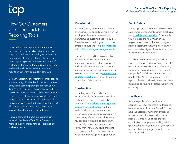# How Our Customers Use TimeClock Plus Reporting Tools

Our workforce management reporting tools are built to address the needs of all organizations large and small, whether employees work on-site or remotely, full-time, part-time, or hourly. Our varied reporting options can meet the needs of customers who want automated reports delivered each week and those who want customized reports on a monthly or quarterly schedule.

Given the versatility of our software, organizations across an array of industries find value in the realtime, cloud-based reporting capabilities of our TimeClock Plus software. You can measure the number of hours it takes one of your construction crews to complete a roof, or you can track billable hours associated with your Title 1 educational programming. No matter the scenario, TimeClock Plus can provide accurate, actionable data to improve the efficiency of your workforce.

Here are some of the ways our customers in various industries use TimeClock Plus reports to manage their workforce for better productivity and compliance:

### Guide to TimeClock Plus Reporting Gather Key Workforce Management Insights

### **Manufacturing Community Public Safety**

In manufacturing environments, there is often a mix of unionized and non-unionized employees. As a result, many of our manufacturing customers use TimeClock Plus advanced scheduling reports to keep employee hours and leave in compliance [with collective bargaining agreements](https://www.tcpsoftware.com/blog/union-cba-compliance-made-easy).

For example, in addition to pre-configured reports for scheduling and time and attendance, you can configure a report to track work hour minimums and maximums among your unionized workforce. You can also create a custom report **summarizing** [equitable overtime](https://timeclockplus.force.com/TCPSupport/s/article/Advanced-Scheduler-Custom-Reports) and share it with your local union official if desired.

### **Construction**

Operating a construction business today means facing increasing cash flow challenges, product costs, and labor shortages. Our **workforce management** [solutions for construction](https://www.tcpsoftware.com/construction) can track work crew hours and overtime across projects and locations so you can prevent skyrocketing labor costs and time waste. You can also run reports to compare the productivity of each worker and crew, so you know how many hours it takes to complete a specific project—and how much to bid for new project opportunities.

Managing a public safety workforce requires a workforce management solution that helps you **[schedule with precision](https://www.tcpsoftware.com/blog/advanced-scheduler-for-public-safety-needs)**. For example, you may need the right mix of chiefs, sergeants, and street officers on any given police department shift while also ensuring each person is assigned the optimal number of working hours each week.

In addition to offering weekly schedule reports, TCP reporting can identify schedule exceptions that could create a public safety concern, giving you time to make schedule changes before shift assignments become problematic. You can also create a custom report of the daily shift assignments and have it delivered to your inbox before the first shift of the day.

### **Healthcare**

Similar to public safety, the time and attendance of your healthcare workforce can have a life-or-death impact. Each shift must have the necessary number of physicians, nurses and technicians on staff to serve patients. Moreover, you need the right combination of employees working within a specific job function, for example, the optimal number of nurse managers, registered nurses and nursing aides.